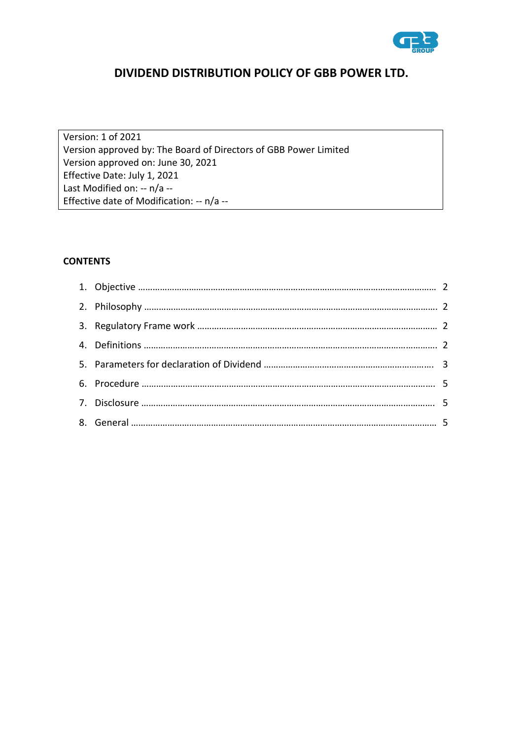

# **DIVIDEND DISTRIBUTION POLICY OF GBB POWER LTD.**

Version: 1 of 2021 Version approved by: The Board of Directors of GBB Power Limited Version approved on: June 30, 2021 Effective Date: July 1, 2021 Last Modified on: -- n/a -- Effective date of Modification: -- n/a --

# **CONTENTS**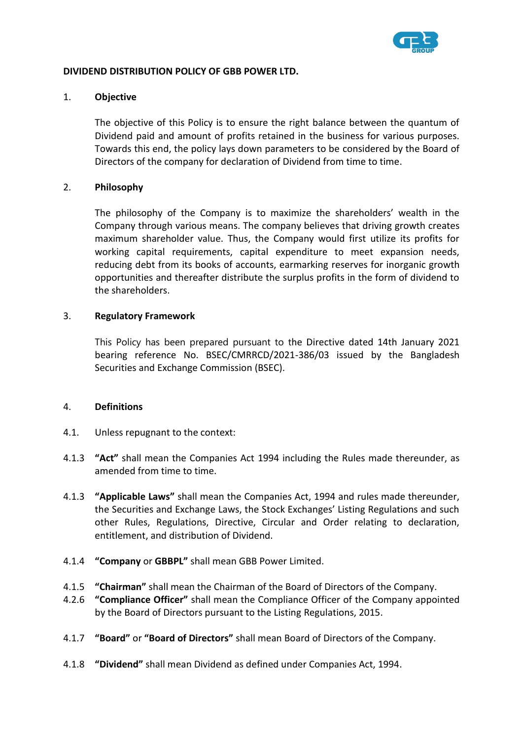

### **DIVIDEND DISTRIBUTION POLICY OF GBB POWER LTD.**

#### 1. **Objective**

The objective of this Policy is to ensure the right balance between the quantum of Dividend paid and amount of profits retained in the business for various purposes. Towards this end, the policy lays down parameters to be considered by the Board of Directors of the company for declaration of Dividend from time to time.

### 2. **Philosophy**

The philosophy of the Company is to maximize the shareholders' wealth in the Company through various means. The company believes that driving growth creates maximum shareholder value. Thus, the Company would first utilize its profits for working capital requirements, capital expenditure to meet expansion needs, reducing debt from its books of accounts, earmarking reserves for inorganic growth opportunities and thereafter distribute the surplus profits in the form of dividend to the shareholders.

### 3. **Regulatory Framework**

This Policy has been prepared pursuant to the Directive dated 14th January 2021 bearing reference No. BSEC/CMRRCD/2021-386/03 issued by the Bangladesh Securities and Exchange Commission (BSEC).

### 4. **Definitions**

- 4.1. Unless repugnant to the context:
- 4.1.3 **"Act"** shall mean the Companies Act 1994 including the Rules made thereunder, as amended from time to time.
- 4.1.3 **"Applicable Laws"** shall mean the Companies Act, 1994 and rules made thereunder, the Securities and Exchange Laws, the Stock Exchanges' Listing Regulations and such other Rules, Regulations, Directive, Circular and Order relating to declaration, entitlement, and distribution of Dividend.
- 4.1.4 **"Company** or **GBBPL"** shall mean GBB Power Limited.
- 4.1.5 **"Chairman"** shall mean the Chairman of the Board of Directors of the Company.
- 4.2.6 **"Compliance Officer"** shall mean the Compliance Officer of the Company appointed by the Board of Directors pursuant to the Listing Regulations, 2015.
- 4.1.7 **"Board"** or **"Board of Directors"** shall mean Board of Directors of the Company.
- 4.1.8 **"Dividend"** shall mean Dividend as defined under Companies Act, 1994.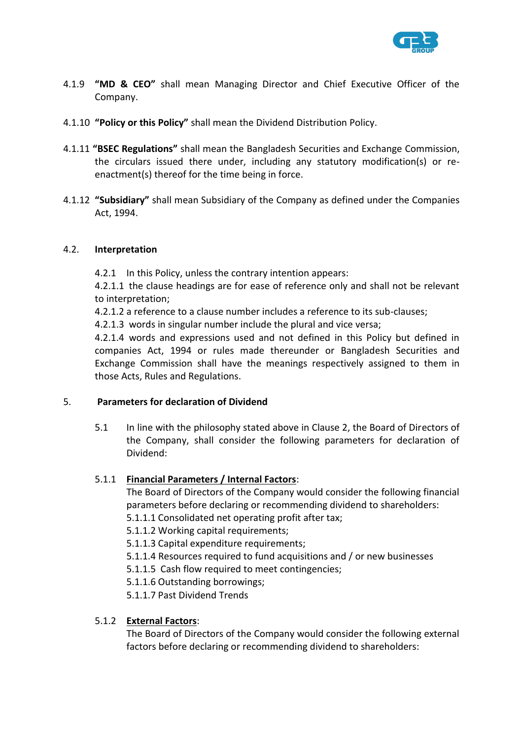

- 4.1.9 **"MD & CEO"** shall mean Managing Director and Chief Executive Officer of the Company.
- 4.1.10 **"Policy or this Policy"** shall mean the Dividend Distribution Policy.
- 4.1.11 **"BSEC Regulations"** shall mean the Bangladesh Securities and Exchange Commission, the circulars issued there under, including any statutory modification(s) or reenactment(s) thereof for the time being in force.
- 4.1.12 **"Subsidiary"** shall mean Subsidiary of the Company as defined under the Companies Act, 1994.

### 4.2. **Interpretation**

4.2.1 In this Policy, unless the contrary intention appears:

4.2.1.1 the clause headings are for ease of reference only and shall not be relevant to interpretation;

4.2.1.2 a reference to a clause number includes a reference to its sub-clauses;

4.2.1.3 words in singular number include the plural and vice versa;

4.2.1.4 words and expressions used and not defined in this Policy but defined in companies Act, 1994 or rules made thereunder or Bangladesh Securities and Exchange Commission shall have the meanings respectively assigned to them in those Acts, Rules and Regulations.

### 5. **Parameters for declaration of Dividend**

5.1 In line with the philosophy stated above in Clause 2, the Board of Directors of the Company, shall consider the following parameters for declaration of Dividend:

# 5.1.1 **Financial Parameters / Internal Factors**:

The Board of Directors of the Company would consider the following financial parameters before declaring or recommending dividend to shareholders:

5.1.1.1 Consolidated net operating profit after tax;

5.1.1.2 Working capital requirements;

5.1.1.3 Capital expenditure requirements;

5.1.1.4 Resources required to fund acquisitions and / or new businesses

5.1.1.5 Cash flow required to meet contingencies;

5.1.1.6 Outstanding borrowings;

5.1.1.7 Past Dividend Trends

### 5.1.2 **External Factors**:

The Board of Directors of the Company would consider the following external factors before declaring or recommending dividend to shareholders: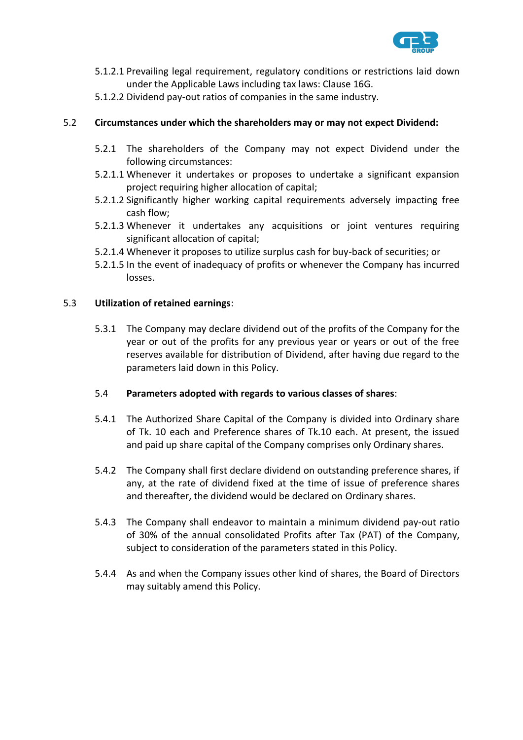

- 5.1.2.1 Prevailing legal requirement, regulatory conditions or restrictions laid down under the Applicable Laws including tax laws: Clause 16G.
- 5.1.2.2 Dividend pay-out ratios of companies in the same industry.

## 5.2 **Circumstances under which the shareholders may or may not expect Dividend:**

- 5.2.1 The shareholders of the Company may not expect Dividend under the following circumstances:
- 5.2.1.1 Whenever it undertakes or proposes to undertake a significant expansion project requiring higher allocation of capital;
- 5.2.1.2 Significantly higher working capital requirements adversely impacting free cash flow;
- 5.2.1.3 Whenever it undertakes any acquisitions or joint ventures requiring significant allocation of capital;
- 5.2.1.4 Whenever it proposes to utilize surplus cash for buy-back of securities; or
- 5.2.1.5 In the event of inadequacy of profits or whenever the Company has incurred losses.

### 5.3 **Utilization of retained earnings**:

5.3.1 The Company may declare dividend out of the profits of the Company for the year or out of the profits for any previous year or years or out of the free reserves available for distribution of Dividend, after having due regard to the parameters laid down in this Policy.

### 5.4 **Parameters adopted with regards to various classes of shares**:

- 5.4.1 The Authorized Share Capital of the Company is divided into Ordinary share of Tk. 10 each and Preference shares of Tk.10 each. At present, the issued and paid up share capital of the Company comprises only Ordinary shares.
- 5.4.2 The Company shall first declare dividend on outstanding preference shares, if any, at the rate of dividend fixed at the time of issue of preference shares and thereafter, the dividend would be declared on Ordinary shares.
- 5.4.3 The Company shall endeavor to maintain a minimum dividend pay-out ratio of 30% of the annual consolidated Profits after Tax (PAT) of the Company, subject to consideration of the parameters stated in this Policy.
- 5.4.4 As and when the Company issues other kind of shares, the Board of Directors may suitably amend this Policy.